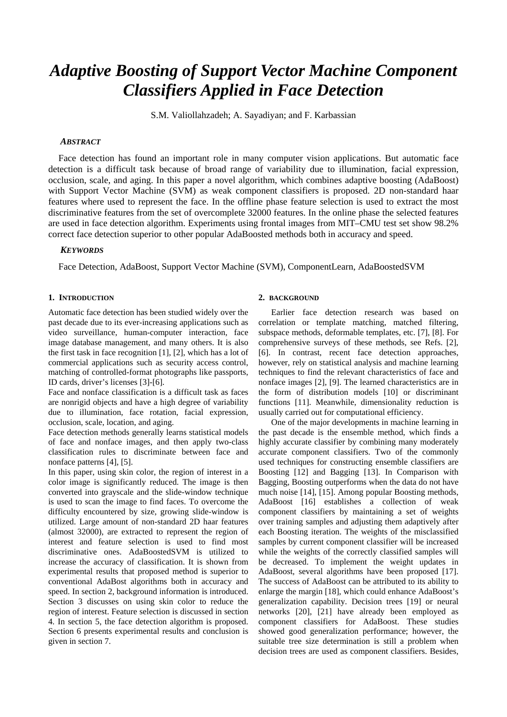# *Adaptive Boosting of Support Vector Machine Component Classifiers Applied in Face Detection*

S.M. Valiollahzadeh; A. Sayadiyan; and F. Karbassian

## *ABSTRACT*

Face detection has found an important role in many computer vision applications. But automatic face detection is a difficult task because of broad range of variability due to illumination, facial expression, occlusion, scale, and aging. In this paper a novel algorithm, which combines adaptive boosting (AdaBoost) with Support Vector Machine (SVM) as weak component classifiers is proposed. 2D non-standard haar features where used to represent the face. In the offline phase feature selection is used to extract the most discriminative features from the set of overcomplete 32000 features. In the online phase the selected features are used in face detection algorithm. Experiments using frontal images from MIT–CMU test set show 98.2% correct face detection superior to other popular AdaBoosted methods both in accuracy and speed.

## *KEYWORDS*

Face Detection, AdaBoost, Support Vector Machine (SVM), ComponentLearn, AdaBoostedSVM

## **1. INTRODUCTION**

Automatic face detection has been studied widely over the past decade due to its ever-increasing applications such as video surveillance, human-computer interaction, face image database management, and many others. It is also the first task in face recognition [1], [2], which has a lot of commercial applications such as security access control, matching of controlled-format photographs like passports, ID cards, driver's licenses [3]-[6].

Face and nonface classification is a difficult task as faces are nonrigid objects and have a high degree of variability due to illumination, face rotation, facial expression, occlusion, scale, location, and aging.

Face detection methods generally learns statistical models of face and nonface images, and then apply two-class classification rules to discriminate between face and nonface patterns [4], [5].

In this paper, using skin color, the region of interest in a color image is significantly reduced. The image is then converted into grayscale and the slide-window technique is used to scan the image to find faces. To overcome the difficulty encountered by size, growing slide-window is utilized. Large amount of non-standard 2D haar features (almost 32000), are extracted to represent the region of interest and feature selection is used to find most discriminative ones. AdaBoostedSVM is utilized to increase the accuracy of classification. It is shown from experimental results that proposed method is superior to conventional AdaBost algorithms both in accuracy and speed. In section 2, background information is introduced. Section 3 discusses on using skin color to reduce the region of interest. Feature selection is discussed in section 4. In section 5, the face detection algorithm is proposed. Section 6 presents experimental results and conclusion is given in section 7.

#### **2. BACKGROUND**

Earlier face detection research was based on correlation or template matching, matched filtering, subspace methods, deformable templates, etc. [7], [8]. For comprehensive surveys of these methods, see Refs. [2], [6]. In contrast, recent face detection approaches, however, rely on statistical analysis and machine learning techniques to find the relevant characteristics of face and nonface images [2], [9]. The learned characteristics are in the form of distribution models [10] or discriminant functions [11]. Meanwhile, dimensionality reduction is usually carried out for computational efficiency.

One of the major developments in machine learning in the past decade is the ensemble method, which finds a highly accurate classifier by combining many moderately accurate component classifiers. Two of the commonly used techniques for constructing ensemble classifiers are Boosting [12] and Bagging [13]. In Comparison with Bagging, Boosting outperforms when the data do not have much noise [14], [15]. Among popular Boosting methods, AdaBoost [16] establishes a collection of weak component classifiers by maintaining a set of weights over training samples and adjusting them adaptively after each Boosting iteration. The weights of the misclassified samples by current component classifier will be increased while the weights of the correctly classified samples will be decreased. To implement the weight updates in AdaBoost, several algorithms have been proposed [17]. The success of AdaBoost can be attributed to its ability to enlarge the margin [18], which could enhance AdaBoost's generalization capability. Decision trees [19] or neural networks [20], [21] have already been employed as component classifiers for AdaBoost. These studies showed good generalization performance; however, the suitable tree size determination is still a problem when decision trees are used as component classifiers. Besides,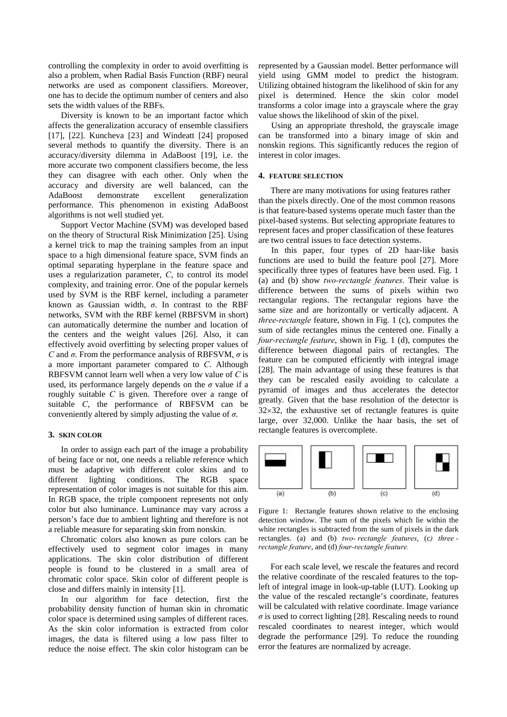controlling the complexity in order to avoid overfitting is also a problem, when Radial Basis Function (RBF) neural networks are used as component classifiers. Moreover, one has to decide the optimum number of centers and also sets the width values of the RBFs.

Diversity is known to be an important factor which affects the generalization accuracy of ensemble classifiers [17], [22]. Kuncheva [23] and Windeatt [24] proposed several methods to quantify the diversity. There is an accuracy/diversity dilemma in AdaBoost [19], i.e. the more accurate two component classifiers become, the less they can disagree with each other. Only when the accuracy and diversity are well balanced, can the AdaBoost demonstrate excellent generalization performance. This phenomenon in existing AdaBoost algorithms is not well studied yet.

Support Vector Machine (SVM) was developed based on the theory of Structural Risk Minimization [25]. Using a kernel trick to map the training samples from an input space to a high dimensional feature space, SVM finds an optimal separating hyperplane in the feature space and uses a regularization parameter, *C*, to control its model complexity, and training error. One of the popular kernels used by SVM is the RBF kernel, including a parameter known as Gaussian width, *σ*. In contrast to the RBF networks, SVM with the RBF kernel (RBFSVM in short) can automatically determine the number and location of the centers and the weight values [26]. Also, it can effectively avoid overfitting by selecting proper values of *C* and *σ*. From the performance analysis of RBFSVM, *σ* is a more important parameter compared to *C*. Although RBFSVM cannot learn well when a very low value of *C* is used, its performance largely depends on the  $\sigma$  value if a roughly suitable *C* is given. Therefore over a range of suitable *C*, the performance of RBFSVM can be conveniently altered by simply adjusting the value of *σ*.

#### **3. SKIN COLOR**

In order to assign each part of the image a probability of being face or not, one needs a reliable reference which must be adaptive with different color skins and to different lighting conditions. The RGB space representation of color images is not suitable for this aim. In RGB space, the triple component represents not only color but also luminance. Luminance may vary across a person's face due to ambient lighting and therefore is not a reliable measure for separating skin from nonskin.

Chromatic colors also known as pure colors can be effectively used to segment color images in many applications. The skin color distribution of different people is found to be clustered in a small area of chromatic color space. Skin color of different people is close and differs mainly in intensity [1].

In our algorithm for face detection, first the probability density function of human skin in chromatic color space is determined using samples of different races. As the skin color information is extracted from color images, the data is filtered using a low pass filter to reduce the noise effect. The skin color histogram can be

represented by a Gaussian model. Better performance will yield using GMM model to predict the histogram. Utilizing obtained histogram the likelihood of skin for any pixel is determined. Hence the skin color model transforms a color image into a grayscale where the gray value shows the likelihood of skin of the pixel.

Using an appropriate threshold, the grayscale image can be transformed into a binary image of skin and nonskin regions. This significantly reduces the region of interest in color images.

## **4. FEATURE SELECTION**

There are many motivations for using features rather than the pixels directly. One of the most common reasons is that feature-based systems operate much faster than the pixel-based systems. But selecting appropriate features to represent faces and proper classification of these features are two central issues to face detection systems.

In this paper, four types of 2D haar-like basis functions are used to build the feature pool [27]. More specifically three types of features have been used. Fig. 1 (a) and (b) show *two-rectangle features*. Their value is difference between the sums of pixels within two rectangular regions. The rectangular regions have the same size and are horizontally or vertically adjacent. A *three-rectangle* feature, shown in Fig. 1 (c), computes the sum of side rectangles minus the centered one. Finally a *four-rectangle feature*, shown in Fig. 1 (d), computes the difference between diagonal pairs of rectangles. The feature can be computed efficiently with integral image [28]. The main advantage of using these features is that they can be rescaled easily avoiding to calculate a pyramid of images and thus accelerates the detector greatly. Given that the base resolution of the detector is  $32\times32$ , the exhaustive set of rectangle features is quite large, over 32,000. Unlike the haar basis, the set of rectangle features is overcomplete.



Figure 1: Rectangle features shown relative to the enclosing detection window. The sum of the pixels which lie within the white rectangles is subtracted from the sum of pixels in the dark rectangles. (a) and (b) *two- rectangle features*, (c*) three rectangle feature*, and (d) *four-rectangle feature.* 

For each scale level, we rescale the features and record the relative coordinate of the rescaled features to the topleft of integral image in look-up-table (LUT). Looking up the value of the rescaled rectangle's coordinate, features will be calculated with relative coordinate. Image variance  $\sigma$  is used to correct lighting [28]. Rescaling needs to round rescaled coordinates to nearest integer, which would degrade the performance [29]. To reduce the rounding error the features are normalized by acreage.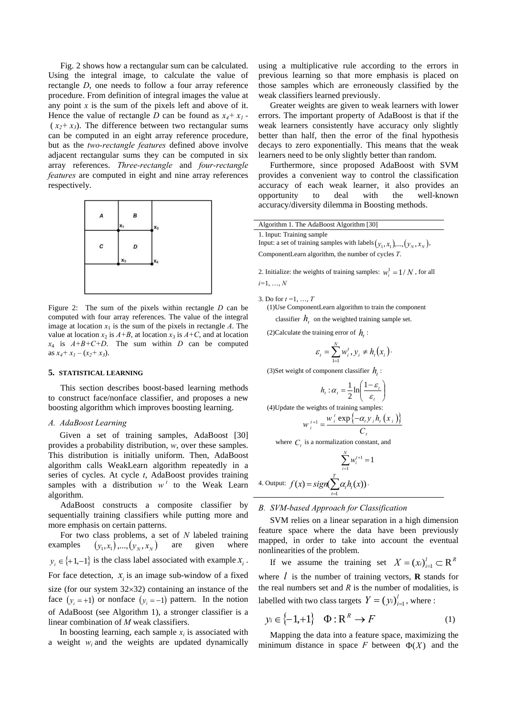Fig. 2 shows how a rectangular sum can be calculated. Using the integral image, to calculate the value of rectangle *D*, one needs to follow a four array reference procedure. From definition of integral images the value at any point  $x$  is the sum of the pixels left and above of it. Hence the value of rectangle *D* can be found as  $x_4 + x_1$  - $(x_2+x_3)$ . The difference between two rectangular sums can be computed in an eight array reference procedure, but as the *two-rectangle features* defined above involve adjacent rectangular sums they can be computed in six array references. *Three-rectangle* and *four-rectangle features* are computed in eight and nine array references respectively.



Figure 2: The sum of the pixels within rectangle *D* can be computed with four array references. The value of the integral image at location  $x_1$  is the sum of the pixels in rectangle  $A$ . The value at location  $x_2$  is  $A+B$ , at location  $x_3$  is  $A+C$ , and at location  $x_4$  is  $A+B+C+D$ . The sum within *D* can be computed as  $x_4 + x_1 - (x_2 + x_3)$ .

#### **5. STATISTICAL LEARNING**

This section describes boost-based learning methods to construct face/nonface classifier, and proposes a new boosting algorithm which improves boosting learning.

#### *A. AdaBoost Learning*

Given a set of training samples, AdaBoost [30] provides a probability distribution, *w*, over these samples. This distribution is initially uniform. Then, AdaBoost algorithm calls WeakLearn algorithm repeatedly in a series of cycles. At cycle *t*, AdaBoost provides training samples with a distribution  $w^t$  to the Weak Learn algorithm.

AdaBoost constructs a composite classifier by sequentially training classifiers while putting more and more emphasis on certain patterns.

For two class problems, a set of *N* labeled training examples  $(y_1, x_1), \ldots, (y_N, x_N)$  are given where  $y_i \in \{+1,-1\}$  is the class label associated with example  $x_i$ . For face detection,  $x_i$  is an image sub-window of a fixed size (for our system 32×32) containing an instance of the face  $(y_i = +1)$  or nonface  $(y_i = -1)$  pattern. In the notion of AdaBoost (see Algorithm 1), a stronger classifier is a linear combination of *M* weak classifiers.

In boosting learning, each sample  $x_i$  is associated with a weight *wi* and the weights are updated dynamically using a multiplicative rule according to the errors in previous learning so that more emphasis is placed on those samples which are erroneously classified by the weak classifiers learned previously.

Greater weights are given to weak learners with lower errors. The important property of AdaBoost is that if the weak learners consistently have accuracy only slightly better than half, then the error of the final hypothesis decays to zero exponentially. This means that the weak learners need to be only slightly better than random.

Furthermore, since proposed AdaBoost with SVM provides a convenient way to control the classification accuracy of each weak learner, it also provides an opportunity to deal with the well-known accuracy/diversity dilemma in Boosting methods.

| Algorithm 1. The AdaBoost Algorithm [30]                                                                                                                    |  |
|-------------------------------------------------------------------------------------------------------------------------------------------------------------|--|
| 1. Input: Training sample<br>Input: a set of training samples with labels $(y_1, x_1), , (y_N, x_N)$ ,<br>ComponentLearn algorithm, the number of cycles T. |  |

2. Initialize: the weights of training samples:  $w_i^1 = 1/N$ , for all *i=*1, …, *N* 

3. Do for *t =*1, …, *T*

(1)Use ComponentLearn algorithm to train the component

classifier  $h_{\tau}$  on the weighted training sample set.

(2)Calculate the training error of  $h_i$ :

$$
\varepsilon_t = \sum_{i=1}^N w_i^t, y_i \neq h_t(x_i).
$$

(3) Set weight of component classifier  $h_i$ :

$$
h_t: \alpha_t = \frac{1}{2} \ln \left( \frac{1 - \varepsilon_t}{\varepsilon_t} \right)
$$

(4)Update the weights of training samples:

$$
W_i^{t+1} = \frac{W_i^t \exp\{-\alpha_i y_i h_i(x_i)\}}{C_i}
$$

where  $C<sub>t</sub>$  is a normalization constant, and

$$
\sum_{i=1}^{N} w_i^{t+1} = 1
$$
  
4. Output: 
$$
f(x) = sign \sum_{i=1}^{T} \alpha_i h_i(x)
$$
.

## *B. SVM-based Approach for Classification*

SVM relies on a linear separation in a high dimension feature space where the data have been previously mapped, in order to take into account the eventual nonlinearities of the problem.

If we assume the training set  $X = (x_i)_{i=1}^l \subset \mathbb{R}^R$ where  $\ell$  is the number of training vectors, **R** stands for the real numbers set and  $R$  is the number of modalities, is labelled with two class targets  $Y = (y_i)_{i=1}^l$ , where :

$$
y_i \in \{-1, +1\} \quad \Phi: \mathbb{R}^R \to F \tag{1}
$$

Mapping the data into a feature space, maximizing the minimum distance in space  $F$  between  $\Phi(X)$  and the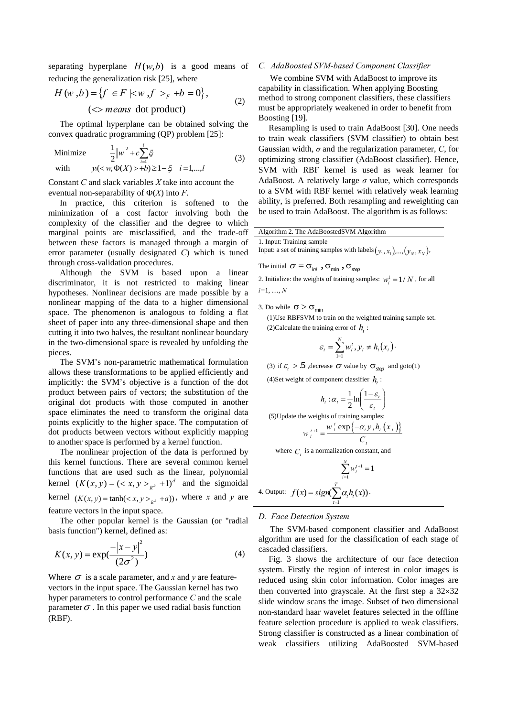separating hyperplane  $H(w,b)$  is a good means of reducing the generalization risk [25], where

$$
H(w, b) = \{f \in F \mid \langle w, f \rangle_F + b = 0\},\
$$
  

$$
(\langle \rangle \text{ means dot product})
$$
 (2)

The optimal hyperplane can be obtained solving the convex quadratic programming (QP) problem [25]:

Minimize 
$$
\frac{1}{2} ||w||^2 + c \sum_{i=1}^{l} \xi_i
$$
  
with  $y_i(< w, \Phi(X) > +b) \ge 1 - \xi \quad i = 1,...,l$  (3)

Constant *C* and slack variables *X* take into account the eventual non-separability of  $\Phi(X)$  into *F*.

In practice, this criterion is softened to the minimization of a cost factor involving both the complexity of the classifier and the degree to which marginal points are misclassified, and the trade-off between these factors is managed through a margin of error parameter (usually designated *C*) which is tuned through cross-validation procedures.

Although the SVM is based upon a linear discriminator, it is not restricted to making linear hypotheses. Nonlinear decisions are made possible by a nonlinear mapping of the data to a higher dimensional space. The phenomenon is analogous to folding a flat sheet of paper into any three-dimensional shape and then cutting it into two halves, the resultant nonlinear boundary in the two-dimensional space is revealed by unfolding the pieces.

The SVM's non-parametric mathematical formulation allows these transformations to be applied efficiently and implicitly: the SVM's objective is a function of the dot product between pairs of vectors; the substitution of the original dot products with those computed in another space eliminates the need to transform the original data points explicitly to the higher space. The computation of dot products between vectors without explicitly mapping to another space is performed by a kernel function.

The nonlinear projection of the data is performed by this kernel functions. There are several common kernel functions that are used such as the linear, polynomial kernel  $(K(x, y) = (\langle x, y \rangle_{R^R} + 1)^d$  and the sigmoidal kernel  $(K(x, y) = \tanh(_{R^R} + a))$ , where *x* and *y* are feature vectors in the input space.

The other popular kernel is the Gaussian (or "radial basis function") kernel, defined as:

$$
K(x, y) = \exp(\frac{-|x - y|^2}{(2\sigma^2)})
$$
\n(4)

Where  $\sigma$  is a scale parameter, and *x* and *y* are featurevectors in the input space. The Gaussian kernel has two hyper parameters to control performance *C* and the scale parameter  $\sigma$ . In this paper we used radial basis function (RBF).

#### *C. AdaBoosted SVM-based Component Classifier*

We combine SVM with AdaBoost to improve its capability in classification. When applying Boosting method to strong component classifiers, these classifiers must be appropriately weakened in order to benefit from Boosting [19].

Resampling is used to train AdaBoost [30]. One needs to train weak classifiers (SVM classifier) to obtain best Gaussian width, *σ* and the regularization parameter, *C*, for optimizing strong classifier (AdaBoost classifier). Hence, SVM with RBF kernel is used as weak learner for AdaBoost. A relatively large *σ* value, which corresponds to a SVM with RBF kernel with relatively weak learning ability, is preferred. Both resampling and reweighting can be used to train AdaBoost. The algorithm is as follows:

Algorithm 2. The AdaBoostedSVM Algorithm

# 1. Input: Training sample

Input: a set of training samples with labels  $(y_1, x_1), \ldots, (y_N, x_N)$ ,

The initial 
$$
\sigma = \sigma_{\text{ini}}
$$
 ,  $\sigma_{\text{min}}$  ,  $\sigma_{\text{step}}$ 

2. Initialize: the weights of training samples:  $w_i^1 = 1/N$ , for all *i=*1, …, *N*

3. Do while  $\sigma > \sigma_{\text{min}}$ 

(1)Use RBFSVM to train on the weighted training sample set. (2) Calculate the training error of  $h$ .

$$
\varepsilon_t = \sum_{i=1}^N w_i^t, y_i \neq h_t(x_i).
$$

(3) if  $\varepsilon_t > 5$ , decrease  $\sigma$  value by  $\sigma_{\text{step}}$  and goto(1)

(4)Set weight of component classifier  $h$ .

$$
h_t: \alpha_t = \frac{1}{2} \ln \left( \frac{1 - \varepsilon_t}{\varepsilon_t} \right)
$$

(5)Update the weights of training samples:  
\n
$$
w_i^{t+1} = \frac{w_i^t \exp\{-\alpha_i y_i h_i(x_i)\}}{w_i^{t+1}}
$$

$$
w_i^{t+1} = \frac{w_i^t \exp\{-\alpha_i y_i h_t(x_i)}{C_t}
$$

where  $C<sub>t</sub>$  is a normalization constant, and

$$
\sum_{i=1}^{N} w_i^{t+1} = 1
$$
  
4. Output: 
$$
f(x) = sign(\sum_{i=1}^{T} \alpha_i h_i(x)).
$$

#### *D. Face Detection System*

The SVM-based component classifier and AdaBoost algorithm are used for the classification of each stage of cascaded classifiers.

Fig. 3 shows the architecture of our face detection system. Firstly the region of interest in color images is reduced using skin color information. Color images are then converted into grayscale. At the first step a 32×32 slide window scans the image. Subset of two dimensional non-standard haar wavelet features selected in the offline feature selection procedure is applied to weak classifiers. Strong classifier is constructed as a linear combination of weak classifiers utilizing AdaBoosted SVM-based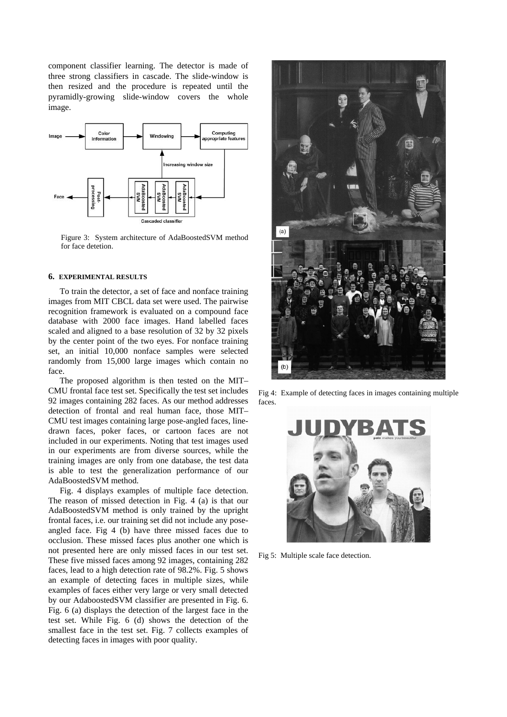component classifier learning. The detector is made of three strong classifiers in cascade. The slide-window is then resized and the procedure is repeated until the pyramidly-growing slide-window covers the whole image.



Figure 3: System architecture of AdaBoostedSVM method for face detetion.

# **6. EXPERIMENTAL RESULTS**

To train the detector, a set of face and nonface training images from MIT CBCL data set were used. The pairwise recognition framework is evaluated on a compound face database with 2000 face images. Hand labelled faces scaled and aligned to a base resolution of 32 by 32 pixels by the center point of the two eyes. For nonface training set, an initial 10,000 nonface samples were selected randomly from 15,000 large images which contain no face.

The proposed algorithm is then tested on the MIT– CMU frontal face test set. Specifically the test set includes 92 images containing 282 faces. As our method addresses detection of frontal and real human face, those MIT– CMU test images containing large pose-angled faces, linedrawn faces, poker faces, or cartoon faces are not included in our experiments. Noting that test images used in our experiments are from diverse sources, while the training images are only from one database, the test data is able to test the generalization performance of our AdaBoostedSVM method.

Fig. 4 displays examples of multiple face detection. The reason of missed detection in Fig. 4 (a) is that our AdaBoostedSVM method is only trained by the upright frontal faces, i.e. our training set did not include any poseangled face. Fig 4 (b) have three missed faces due to occlusion. These missed faces plus another one which is not presented here are only missed faces in our test set. These five missed faces among 92 images, containing 282 faces, lead to a high detection rate of 98.2%. Fig. 5 shows an example of detecting faces in multiple sizes, while examples of faces either very large or very small detected by our AdaboostedSVM classifier are presented in Fig. 6. Fig. 6 (a) displays the detection of the largest face in the test set. While Fig. 6 (d) shows the detection of the smallest face in the test set. Fig. 7 collects examples of detecting faces in images with poor quality.



Fig 4: Example of detecting faces in images containing multiple faces.



Fig 5: Multiple scale face detection.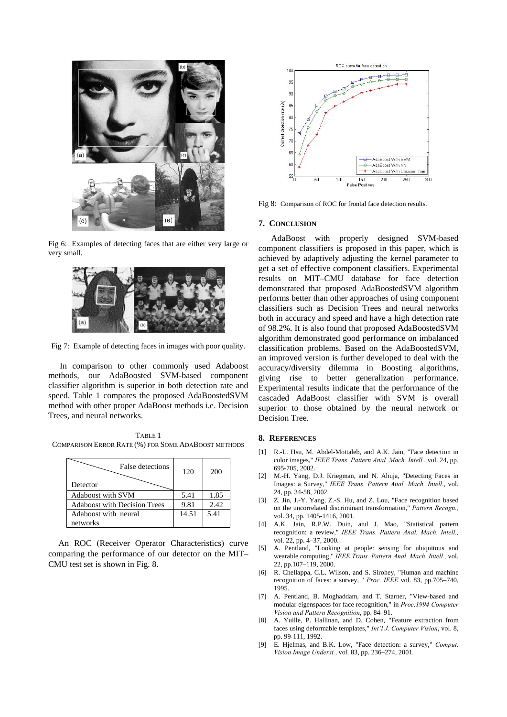

Fig 6: Examples of detecting faces that are either very large or very small.



Fig 7: Example of detecting faces in images with poor quality.

In comparison to other commonly used Adaboost methods, our AdaBoosted SVM-based component classifier algorithm is superior in both detection rate and speed. Table 1 compares the proposed AdaBoostedSVM method with other proper AdaBoost methods i.e. Decision Trees, and neural networks.

TABLE 1 COMPARISON ERROR RATE (%) FOR SOME ADABOOST METHODS

| False detections<br>Detector        | 120   | 200  |
|-------------------------------------|-------|------|
| <b>Adaboost with SVM</b>            | 5.41  | 1.85 |
| <b>Adaboost with Decision Trees</b> | 9.81  | 2.42 |
| Adaboost with neural                | 14.51 | 5.41 |
| networks                            |       |      |

An ROC (Receiver Operator Characteristics) curve comparing the performance of our detector on the MIT– CMU test set is shown in Fig. 8.



Fig 8: Comparison of ROC for frontal face detection results.

## **7. CONCLUSION**

AdaBoost with properly designed SVM-based component classifiers is proposed in this paper, which is achieved by adaptively adjusting the kernel parameter to get a set of effective component classifiers. Experimental results on MIT–CMU database for face detection demonstrated that proposed AdaBoostedSVM algorithm performs better than other approaches of using component classifiers such as Decision Trees and neural networks both in accuracy and speed and have a high detection rate of 98.2%. It is also found that proposed AdaBoostedSVM algorithm demonstrated good performance on imbalanced classification problems. Based on the AdaBoostedSVM, an improved version is further developed to deal with the accuracy/diversity dilemma in Boosting algorithms, giving rise to better generalization performance. Experimental results indicate that the performance of the cascaded AdaBoost classifier with SVM is overall superior to those obtained by the neural network or Decision Tree.

#### **8. REFERENCES**

- [1] R.-L. Hsu, M. Abdel-Mottaleb, and A.K. Jain, "Face detection in color images," *IEEE Trans. Pattern Anal. Mach. Intell.*, vol. 24, pp. 695-705, 2002.
- [2] M.-H. Yang, D.J. Kriegman, and N. Ahuja, "Detecting Faces in Images: a Survey," *IEEE Trans. Pattern Anal. Mach. Intell.*, vol. 24, pp. 34-58, 2002.
- [3] Z. Jin, J.-Y. Yang, Z.-S. Hu, and Z. Lou, "Face recognition based on the uncorrelated discriminant transformation," *Pattern Recogn.,* vol. 34, pp. 1405-1416, 2001.
- [4] A.K. Jain, R.P.W. Duin, and J. Mao, "Statistical pattern recognition: a review," *IEEE Trans. Pattern Anal. Mach. Intell.,* vol. 22, pp. 4–37, 2000.
- [5] A. Pentland, "Looking at people: sensing for ubiquitous and wearable computing," *IEEE Trans. Pattern Anal. Mach. Intell.,* vol. 22, pp.107–119, 2000.
- [6] R. Chellappa, C.L. Wilson, and S. Sirohey, "Human and machine recognition of faces: a survey, " *Proc. IEEE* vol. 83, pp.705–740, 1995.
- [7] A. Pentland, B. Moghaddam, and T. Starner, "View-based and modular eigenspaces for face recognition," in *Proc.1994 Computer Vision and Pattern Recognition*, pp. 84–91.
- [8] A. Yuille, P. Hallinan, and D. Cohen, "Feature extraction from faces using deformable templates," *Int'l J. Computer Vision*, vol. 8, pp. 99-111, 1992.
- [9] E. Hjelmas, and B.K. Low, "Face detection: a survey," *Comput. Vision Image Underst.*, vol. 83, pp. 236–274, 2001.